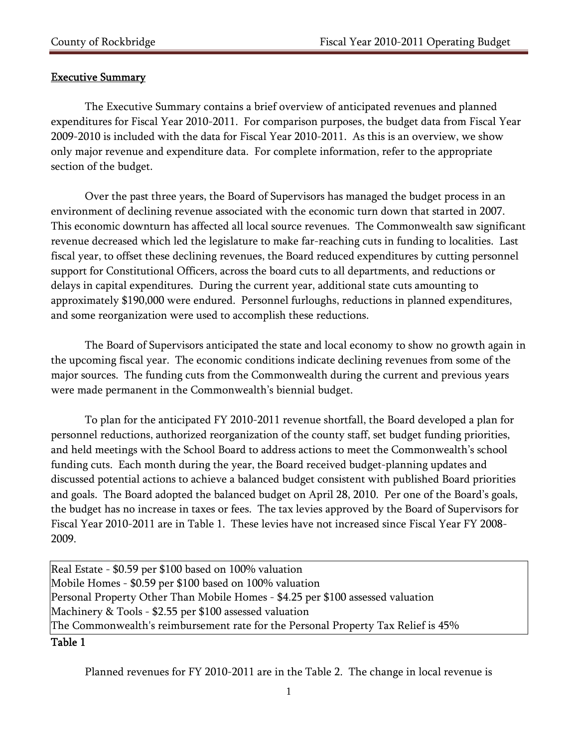## Executive Summary

 The Executive Summary contains a brief overview of anticipated revenues and planned expenditures for Fiscal Year 2010-2011. For comparison purposes, the budget data from Fiscal Year 2009-2010 is included with the data for Fiscal Year 2010-2011. As this is an overview, we show only major revenue and expenditure data. For complete information, refer to the appropriate section of the budget.

 Over the past three years, the Board of Supervisors has managed the budget process in an environment of declining revenue associated with the economic turn down that started in 2007. This economic downturn has affected all local source revenues. The Commonwealth saw significant revenue decreased which led the legislature to make far-reaching cuts in funding to localities. Last fiscal year, to offset these declining revenues, the Board reduced expenditures by cutting personnel support for Constitutional Officers, across the board cuts to all departments, and reductions or delays in capital expenditures. During the current year, additional state cuts amounting to approximately \$190,000 were endured. Personnel furloughs, reductions in planned expenditures, and some reorganization were used to accomplish these reductions.

The Board of Supervisors anticipated the state and local economy to show no growth again in the upcoming fiscal year. The economic conditions indicate declining revenues from some of the major sources. The funding cuts from the Commonwealth during the current and previous years were made permanent in the Commonwealth's biennial budget.

To plan for the anticipated FY 2010-2011 revenue shortfall, the Board developed a plan for personnel reductions, authorized reorganization of the county staff, set budget funding priorities, and held meetings with the School Board to address actions to meet the Commonwealth's school funding cuts. Each month during the year, the Board received budget-planning updates and discussed potential actions to achieve a balanced budget consistent with published Board priorities and goals. The Board adopted the balanced budget on April 28, 2010. Per one of the Board's goals, the budget has no increase in taxes or fees. The tax levies approved by the Board of Supervisors for Fiscal Year 2010-2011 are in Table 1. These levies have not increased since Fiscal Year FY 2008- 2009.

Real Estate - \$0.59 per \$100 based on 100% valuation Mobile Homes - \$0.59 per \$100 based on 100% valuation Personal Property Other Than Mobile Homes - \$4.25 per \$100 assessed valuation Machinery & Tools - \$2.55 per \$100 assessed valuation The Commonwealth's reimbursement rate for the Personal Property Tax Relief is 45%

## Table 1

Planned revenues for FY 2010-2011 are in the Table 2. The change in local revenue is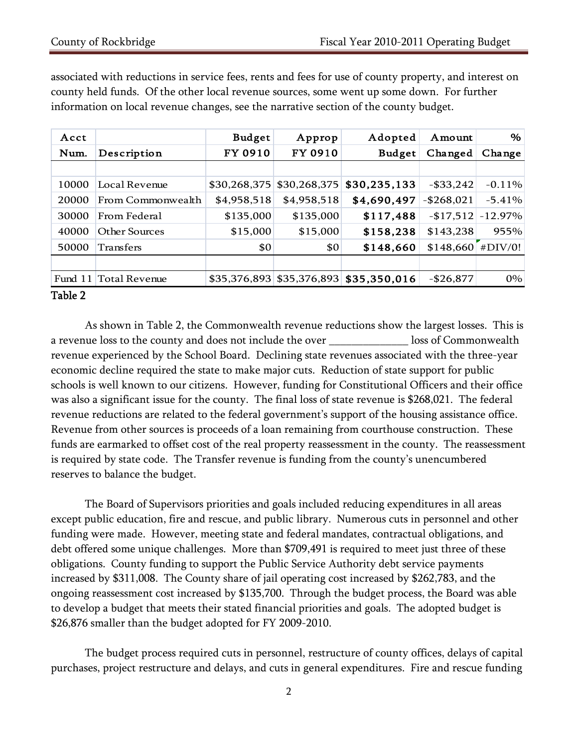| Acct  |                       | <b>Budget</b> | Approp       | Adopted                                   | Amount        | %         |
|-------|-----------------------|---------------|--------------|-------------------------------------------|---------------|-----------|
| Num.  | Description           | FY 0910       | FY 0910      | <b>Budget</b>                             | Changed       | Change    |
|       |                       |               |              |                                           |               |           |
| 10000 | Local Revenue         | \$30,268,375  | \$30,268,375 | \$30,235,133                              | $-$ \$33,242  | $-0.11%$  |
| 20000 | From Commonwealth     | \$4,958,518   | \$4,958,518  | \$4,690,497                               | $-$ \$268,021 | $-5.41%$  |
| 30000 | From Federal          | \$135,000     | \$135,000    | \$117,488                                 | $-$17,512$    | $-12.97%$ |
| 40000 | Other Sources         | \$15,000      | \$15,000     | \$158,238                                 | \$143,238     | 955%      |
| 50000 | Transfers             | \$0           | \$0          | \$148,660                                 | \$148,660     | #DIV/0!   |
|       |                       |               |              |                                           |               |           |
|       | Fund 11 Total Revenue |               |              | $$35,376,893$ $$35,376,893$ $$35,350,016$ | $-$ \$26,877  | 0%        |

associated with reductions in service fees, rents and fees for use of county property, and interest on county held funds. Of the other local revenue sources, some went up some down. For further information on local revenue changes, see the narrative section of the county budget.

## Table 2

 As shown in Table 2, the Commonwealth revenue reductions show the largest losses. This is a revenue loss to the county and does not include the over \_\_\_\_\_\_\_\_\_\_\_\_\_\_ loss of Commonwealth revenue experienced by the School Board. Declining state revenues associated with the three-year economic decline required the state to make major cuts. Reduction of state support for public schools is well known to our citizens. However, funding for Constitutional Officers and their office was also a significant issue for the county. The final loss of state revenue is \$268,021. The federal revenue reductions are related to the federal government's support of the housing assistance office. Revenue from other sources is proceeds of a loan remaining from courthouse construction. These funds are earmarked to offset cost of the real property reassessment in the county. The reassessment is required by state code. The Transfer revenue is funding from the county's unencumbered reserves to balance the budget.

 The Board of Supervisors priorities and goals included reducing expenditures in all areas except public education, fire and rescue, and public library. Numerous cuts in personnel and other funding were made. However, meeting state and federal mandates, contractual obligations, and debt offered some unique challenges. More than \$709,491 is required to meet just three of these obligations. County funding to support the Public Service Authority debt service payments increased by \$311,008. The County share of jail operating cost increased by \$262,783, and the ongoing reassessment cost increased by \$135,700. Through the budget process, the Board was able to develop a budget that meets their stated financial priorities and goals. The adopted budget is \$26,876 smaller than the budget adopted for FY 2009-2010.

The budget process required cuts in personnel, restructure of county offices, delays of capital purchases, project restructure and delays, and cuts in general expenditures. Fire and rescue funding